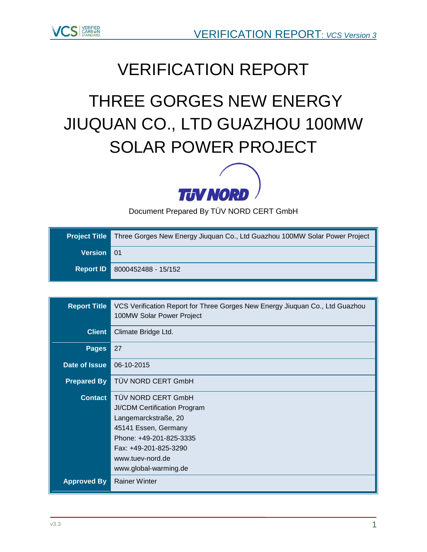

## VERIFICATION REPORT

# THREE GORGES NEW ENERGY JIUQUAN CO., LTD GUAZHOU 100MW SOLAR POWER PROJECT



Document Prepared By TÜV NORD CERT GmbH

| <b>Project Title</b> | Three Gorges New Energy Jiuquan Co., Ltd Guazhou 100MW Solar Power Project |
|----------------------|----------------------------------------------------------------------------|
| Version 01           |                                                                            |
|                      | <b>Report ID 8000452488 - 15/152</b>                                       |

| <b>Report Title</b>  | VCS Verification Report for Three Gorges New Energy Jiuquan Co., Ltd Guazhou<br>100MW Solar Power Project |  |  |
|----------------------|-----------------------------------------------------------------------------------------------------------|--|--|
| <b>Client</b>        | Climate Bridge Ltd.                                                                                       |  |  |
| <b>Pages</b>         | 27                                                                                                        |  |  |
| Date of Issue        | 06-10-2015                                                                                                |  |  |
| <b>Prepared By</b>   | TÜV NORD CERT GmbH                                                                                        |  |  |
| <b>Contact</b>       | TÜV NORD CERT GmbH                                                                                        |  |  |
|                      | <b>JI/CDM Certification Program</b>                                                                       |  |  |
| Langemarckstraße, 20 |                                                                                                           |  |  |
|                      | 45141 Essen, Germany                                                                                      |  |  |
|                      | Phone: +49-201-825-3335                                                                                   |  |  |
|                      | Fax: +49-201-825-3290                                                                                     |  |  |
|                      | www.tuev-nord.de                                                                                          |  |  |
|                      | www.global-warming.de                                                                                     |  |  |
| <b>Approved By</b>   | <b>Rainer Winter</b>                                                                                      |  |  |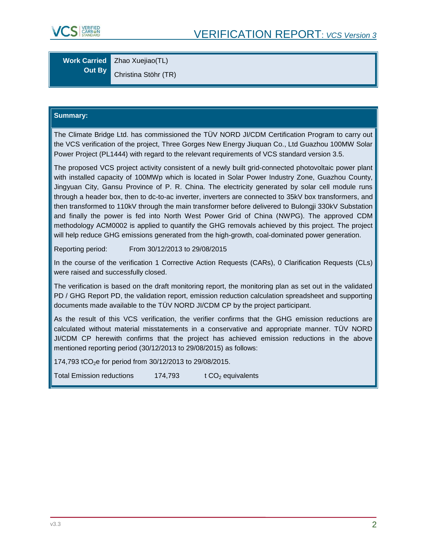

**Work Carried Out By** Zhao Xuejiao(TL)

Christina Stöhr (TR)

#### **Summary:**

The Climate Bridge Ltd. has commissioned the TÜV NORD JI/CDM Certification Program to carry out the VCS verification of the project, Three Gorges New Energy Jiuquan Co., Ltd Guazhou 100MW Solar Power Project (PL1444) with regard to the relevant requirements of VCS standard version 3.5.

The proposed VCS project activity consistent of a newly built grid-connected photovoltaic power plant with installed capacity of 100MWp which is located in Solar Power Industry Zone, Guazhou County, Jingyuan City, Gansu Province of P. R. China. The electricity generated by solar cell module runs through a header box, then to dc-to-ac inverter, inverters are connected to 35kV box transformers, and then transformed to 110kV through the main transformer before delivered to Bulongji 330kV Substation and finally the power is fed into North West Power Grid of China (NWPG). The approved CDM methodology ACM0002 is applied to quantify the GHG removals achieved by this project. The project will help reduce GHG emissions generated from the high-growth, coal-dominated power generation.

Reporting period: From 30/12/2013 to 29/08/2015

In the course of the verification 1 Corrective Action Requests (CARs), 0 Clarification Requests (CLs) were raised and successfully closed.

The verification is based on the draft monitoring report, the monitoring plan as set out in the validated PD / GHG Report PD, the validation report, emission reduction calculation spreadsheet and supporting documents made available to the TÜV NORD JI/CDM CP by the project participant.

As the result of this VCS verification, the verifier confirms that the GHG emission reductions are calculated without material misstatements in a conservative and appropriate manner. TÜV NORD JI/CDM CP herewith confirms that the project has achieved emission reductions in the above mentioned reporting period (30/12/2013 to 29/08/2015) as follows:

174,793 tCO<sub>2</sub>e for period from 30/12/2013 to 29/08/2015.

Total Emission reductions  $174,793$  t CO<sub>2</sub> equivalents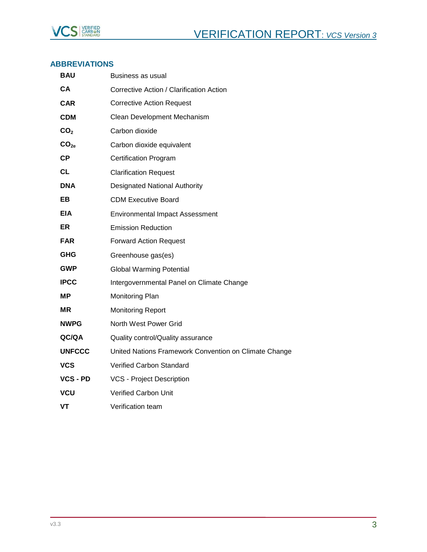

#### **ABBREVIATIONS**

| BAU              | Business as usual                                     |
|------------------|-------------------------------------------------------|
| СA               | Corrective Action / Clarification Action              |
| <b>CAR</b>       | <b>Corrective Action Request</b>                      |
| <b>CDM</b>       | Clean Development Mechanism                           |
| CO <sub>2</sub>  | Carbon dioxide                                        |
| CO <sub>2e</sub> | Carbon dioxide equivalent                             |
| СP               | <b>Certification Program</b>                          |
| CL               | <b>Clarification Request</b>                          |
| <b>DNA</b>       | <b>Designated National Authority</b>                  |
| EB.              | <b>CDM Executive Board</b>                            |
| EIA              | <b>Environmental Impact Assessment</b>                |
| ER               | <b>Emission Reduction</b>                             |
| <b>FAR</b>       | <b>Forward Action Request</b>                         |
| <b>GHG</b>       | Greenhouse gas(es)                                    |
| <b>GWP</b>       | <b>Global Warming Potential</b>                       |
| <b>IPCC</b>      | Intergovernmental Panel on Climate Change             |
| MР               | Monitoring Plan                                       |
| ΜR               | <b>Monitoring Report</b>                              |
| <b>NWPG</b>      | North West Power Grid                                 |
| QC/QA            | Quality control/Quality assurance                     |
| <b>UNFCCC</b>    | United Nations Framework Convention on Climate Change |
| vcs              | <b>Verified Carbon Standard</b>                       |
| <b>VCS - PD</b>  | <b>VCS - Project Description</b>                      |
| <b>VCU</b>       | Verified Carbon Unit                                  |
| VT               | Verification team                                     |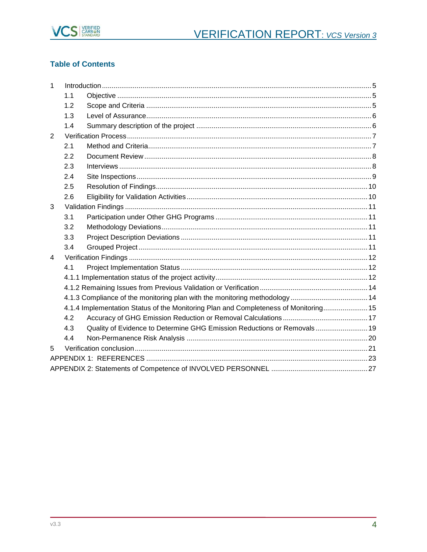

## **Table of Contents**

| $\mathbf{1}$ |     |                                                                                      |  |
|--------------|-----|--------------------------------------------------------------------------------------|--|
|              | 1.1 |                                                                                      |  |
|              | 1.2 |                                                                                      |  |
|              | 1.3 |                                                                                      |  |
|              | 1.4 |                                                                                      |  |
| 2            |     |                                                                                      |  |
|              | 2.1 |                                                                                      |  |
|              | 2.2 |                                                                                      |  |
|              | 2.3 |                                                                                      |  |
|              | 2.4 |                                                                                      |  |
|              | 2.5 |                                                                                      |  |
|              | 2.6 |                                                                                      |  |
| 3            |     |                                                                                      |  |
|              | 3.1 |                                                                                      |  |
|              | 3.2 |                                                                                      |  |
|              | 3.3 |                                                                                      |  |
|              | 3.4 |                                                                                      |  |
| 4            |     |                                                                                      |  |
|              | 4.1 |                                                                                      |  |
|              |     |                                                                                      |  |
|              |     |                                                                                      |  |
|              |     |                                                                                      |  |
|              |     | 4.1.4 Implementation Status of the Monitoring Plan and Completeness of Monitoring 15 |  |
|              | 4.2 |                                                                                      |  |
|              | 4.3 | Quality of Evidence to Determine GHG Emission Reductions or Removals 19              |  |
|              | 4.4 |                                                                                      |  |
| 5            |     |                                                                                      |  |
|              |     |                                                                                      |  |
|              |     |                                                                                      |  |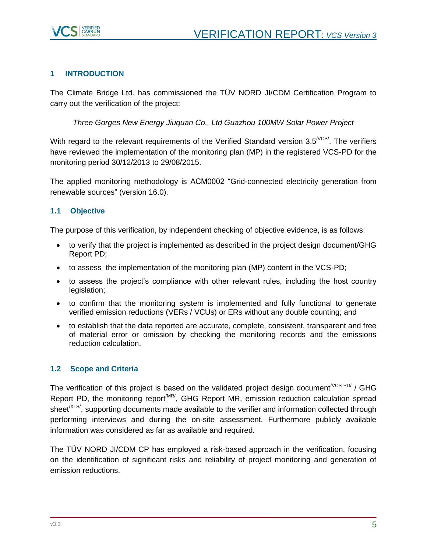

## <span id="page-4-0"></span>**1 INTRODUCTION**

The Climate Bridge Ltd. has commissioned the TÜV NORD JI/CDM Certification Program to carry out the verification of the project:

*Three Gorges New Energy Jiuquan Co., Ltd Guazhou 100MW Solar Power Project*

With regard to the relevant requirements of the Verified Standard version  $3.5^{\text{VCS}}$ . The verifiers have reviewed the implementation of the monitoring plan (MP) in the registered VCS-PD for the monitoring period 30/12/2013 to 29/08/2015.

The applied monitoring methodology is ACM0002 "Grid-connected electricity generation from renewable sources" (version 16.0).

## <span id="page-4-1"></span>**1.1 Objective**

The purpose of this verification, by independent checking of objective evidence, is as follows:

- to verify that the project is implemented as described in the project design document/GHG Report PD;
- to assess the implementation of the monitoring plan (MP) content in the VCS-PD;
- to assess the project's compliance with other relevant rules, including the host country legislation;
- to confirm that the monitoring system is implemented and fully functional to generate verified emission reductions (VERs / VCUs) or ERs without any double counting; and
- to establish that the data reported are accurate, complete, consistent, transparent and free of material error or omission by checking the monitoring records and the emissions reduction calculation.

## <span id="page-4-2"></span>**1.2 Scope and Criteria**

The verification of this project is based on the validated project design document<sup> $VCS-PD/$ </sup> / GHG Report PD, the monitoring report<sup>/MR/</sup>, GHG Report MR, emission reduction calculation spread sheet<sup>/XLS/</sup>, supporting documents made available to the verifier and information collected through performing interviews and during the on-site assessment. Furthermore publicly available information was considered as far as available and required.

The TÜV NORD JI/CDM CP has employed a risk-based approach in the verification, focusing on the identification of significant risks and reliability of project monitoring and generation of emission reductions.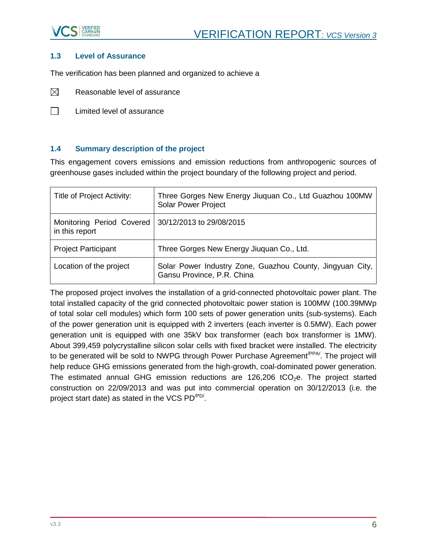

#### <span id="page-5-0"></span>**1.3 Level of Assurance**

The verification has been planned and organized to achieve a

- $\boxtimes$ Reasonable level of assurance
- $\Box$ Limited level of assurance

#### <span id="page-5-1"></span>**1.4 Summary description of the project**

This engagement covers emissions and emission reductions from anthropogenic sources of greenhouse gases included within the project boundary of the following project and period.

| Title of Project Activity:                  | Three Gorges New Energy Jiuquan Co., Ltd Guazhou 100MW<br><b>Solar Power Project</b>    |
|---------------------------------------------|-----------------------------------------------------------------------------------------|
| Monitoring Period Covered<br>in this report | 30/12/2013 to 29/08/2015                                                                |
| <b>Project Participant</b>                  | Three Gorges New Energy Jiuquan Co., Ltd.                                               |
| Location of the project                     | Solar Power Industry Zone, Guazhou County, Jingyuan City,<br>Gansu Province, P.R. China |

The proposed project involves the installation of a grid-connected photovoltaic power plant. The total installed capacity of the grid connected photovoltaic power station is 100MW (100.39MWp of total solar cell modules) which form 100 sets of power generation units (sub-systems). Each of the power generation unit is equipped with 2 inverters (each inverter is 0.5MW). Each power generation unit is equipped with one 35kV box transformer (each box transformer is 1MW). About 399,459 polycrystalline silicon solar cells with fixed bracket were installed. The electricity to be generated will be sold to NWPG through Power Purchase Agreement<sup>/PPA/</sup>. The project will help reduce GHG emissions generated from the high-growth, coal-dominated power generation. The estimated annual GHG emission reductions are  $126,206$  tCO<sub>2</sub>e. The project started construction on 22/09/2013 and was put into commercial operation on 30/12/2013 (i.e. the project start date) as stated in the VCS PD<sup>/PD/</sup>.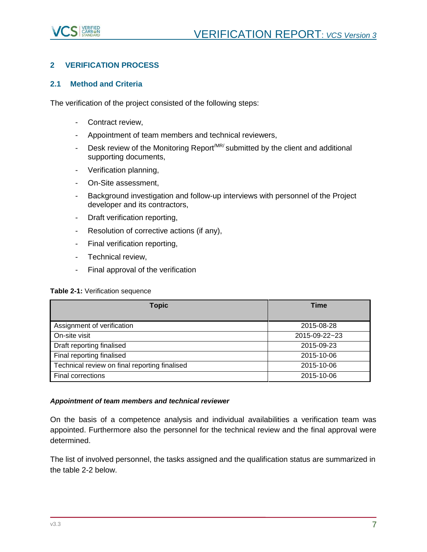

## <span id="page-6-0"></span>**2 VERIFICATION PROCESS**

#### <span id="page-6-1"></span>**2.1 Method and Criteria**

The verification of the project consisted of the following steps:

- Contract review,
- Appointment of team members and technical reviewers,
- Desk review of the Monitoring Report<sup>MR/</sup> submitted by the client and additional supporting documents,
- Verification planning,
- On-Site assessment,
- Background investigation and follow-up interviews with personnel of the Project developer and its contractors,
- Draft verification reporting,
- Resolution of corrective actions (if any),
- Final verification reporting,
- Technical review,
- Final approval of the verification

**Table 2-1:** Verification sequence

| <b>Topic</b>                                  | <b>Time</b>   |
|-----------------------------------------------|---------------|
|                                               |               |
| Assignment of verification                    | 2015-08-28    |
| On-site visit                                 | 2015-09-22~23 |
| Draft reporting finalised                     | 2015-09-23    |
| Final reporting finalised                     | 2015-10-06    |
| Technical review on final reporting finalised | 2015-10-06    |
| <b>Final corrections</b>                      | 2015-10-06    |

#### *Appointment of team members and technical reviewer*

On the basis of a competence analysis and individual availabilities a verification team was appointed. Furthermore also the personnel for the technical review and the final approval were determined.

The list of involved personnel, the tasks assigned and the qualification status are summarized in the table 2-2 below.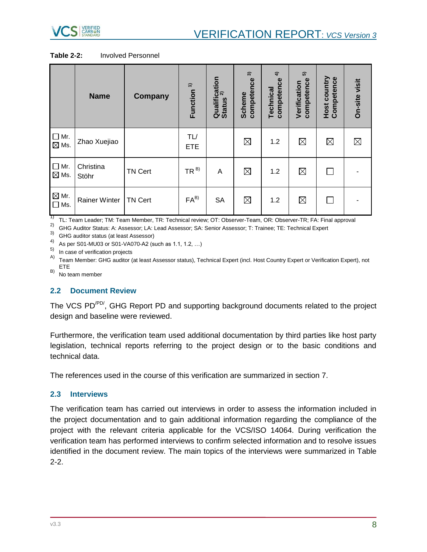

**Table 2-2:** Involved Personnel

|                                  | <b>Name</b>          | <b>Company</b> | $\hat{ }$<br>Function | Qualification<br>c…… 2)<br><b>Status</b> | $\widehat{\mathcal{E}}$<br>competence<br><b>Scheme</b> | $\hat{+}$<br>competence<br>Technical | ົດ<br>competence<br>Verification | Host country<br>Competence | On-site visit |
|----------------------------------|----------------------|----------------|-----------------------|------------------------------------------|--------------------------------------------------------|--------------------------------------|----------------------------------|----------------------------|---------------|
| $\Box$ Mr.<br>$\boxtimes$ Ms.    | Zhao Xuejiao         |                | TL/<br><b>ETE</b>     |                                          | $\boxtimes$                                            | 1.2                                  | $\boxtimes$                      | $\boxtimes$                | $\boxtimes$   |
| $\Box$ Mr.<br>$\boxtimes$ Ms.    | Christina<br>Stöhr   | <b>TN Cert</b> | $TR^{B}$              | A                                        | $\boxtimes$                                            | 1.2                                  | $\boxtimes$                      |                            |               |
| $\boxtimes$ Mr.<br>$\square$ Ms. | <b>Rainer Winter</b> | <b>TN Cert</b> | $FA^{B}$              | <b>SA</b>                                | $\boxtimes$                                            | 1.2                                  | $\boxtimes$                      |                            |               |

<sup>1)</sup> TL: Team Leader; TM: Team Member, TR: Technical review; OT: Observer-Team, OR: Observer-TR; FA: Final approval

<sup>2)</sup> GHG Auditor Status: A: Assessor; LA: Lead Assessor; SA: Senior Assessor; T: Trainee; TE: Technical Expert

3) GHG auditor status (at least Assessor)

4) As per S01-MU03 or S01-VA070-A2 (such as 1.1, 1.2, …)

5) In case of verification projects

A) Team Member: GHG auditor (at least Assessor status), Technical Expert (incl. Host Country Expert or Verification Expert), not ETE

 $(B)$  No team member

#### <span id="page-7-0"></span>**2.2 Document Review**

The VCS PD/PD/, GHG Report PD and supporting background documents related to the project design and baseline were reviewed.

Furthermore, the verification team used additional documentation by third parties like host party legislation, technical reports referring to the project design or to the basic conditions and technical data.

The references used in the course of this verification are summarized in section 7.

#### <span id="page-7-1"></span>**2.3 Interviews**

The verification team has carried out interviews in order to assess the information included in the project documentation and to gain additional information regarding the compliance of the project with the relevant criteria applicable for the VCS/ISO 14064. During verification the verification team has performed interviews to confirm selected information and to resolve issues identified in the document review. The main topics of the interviews were summarized in Table 2-2.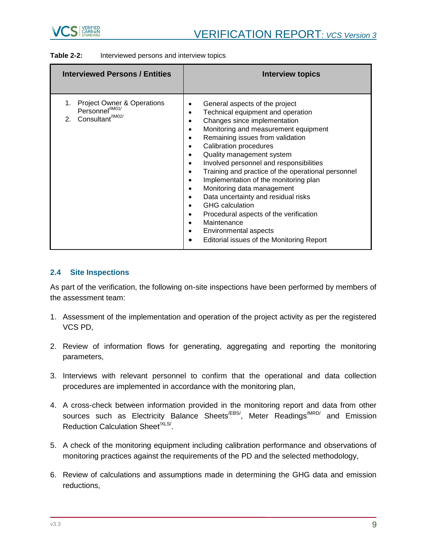

| <b>Table 2-2:</b> | Interviewed persons and interview topics |
|-------------------|------------------------------------------|
|-------------------|------------------------------------------|

| <b>Interviewed Persons / Entities</b>                                                        | Interview topics                                                                                                                                                                                                                                                                                                                                                                                                                                                                                                                                                                                                                                                                                                                                                                                                           |
|----------------------------------------------------------------------------------------------|----------------------------------------------------------------------------------------------------------------------------------------------------------------------------------------------------------------------------------------------------------------------------------------------------------------------------------------------------------------------------------------------------------------------------------------------------------------------------------------------------------------------------------------------------------------------------------------------------------------------------------------------------------------------------------------------------------------------------------------------------------------------------------------------------------------------------|
| Project Owner & Operations<br>Personnel <sup>/IM01/</sup><br>2. Consultant <sup>/IM02/</sup> | General aspects of the project<br>٠<br>Technical equipment and operation<br>$\bullet$<br>Changes since implementation<br>$\bullet$<br>Monitoring and measurement equipment<br>$\bullet$<br>Remaining issues from validation<br>$\bullet$<br><b>Calibration procedures</b><br>$\bullet$<br>Quality management system<br>$\bullet$<br>Involved personnel and responsibilities<br>$\bullet$<br>Training and practice of the operational personnel<br>٠<br>Implementation of the monitoring plan<br>$\bullet$<br>Monitoring data management<br>$\bullet$<br>Data uncertainty and residual risks<br>$\bullet$<br><b>GHG</b> calculation<br>$\bullet$<br>Procedural aspects of the verification<br>٠<br>Maintenance<br>$\bullet$<br>Environmental aspects<br>$\bullet$<br>Editorial issues of the Monitoring Report<br>$\bullet$ |

#### <span id="page-8-0"></span>**2.4 Site Inspections**

As part of the verification, the following on-site inspections have been performed by members of the assessment team:

- 1. Assessment of the implementation and operation of the project activity as per the registered VCS PD,
- 2. Review of information flows for generating, aggregating and reporting the monitoring parameters,
- 3. Interviews with relevant personnel to confirm that the operational and data collection procedures are implemented in accordance with the monitoring plan,
- 4. A cross-check between information provided in the monitoring report and data from other sources such as Electricity Balance Sheets<sup>/EBS/</sup>, Meter Readings<sup>/MRD/</sup> and Emission Reduction Calculation Sheet<sup>/XLS/</sup>.
- 5. A check of the monitoring equipment including calibration performance and observations of monitoring practices against the requirements of the PD and the selected methodology,
- 6. Review of calculations and assumptions made in determining the GHG data and emission reductions,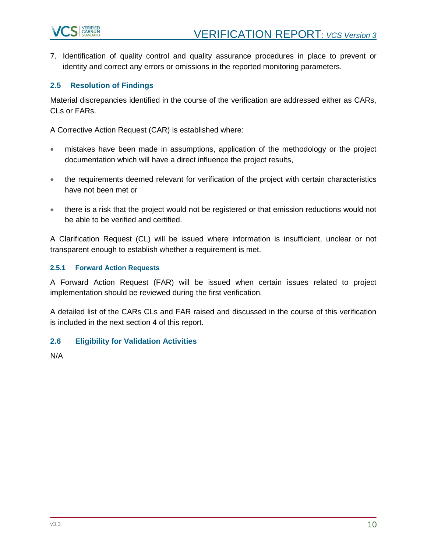

7. Identification of quality control and quality assurance procedures in place to prevent or identity and correct any errors or omissions in the reported monitoring parameters.

#### <span id="page-9-0"></span>**2.5 Resolution of Findings**

Material discrepancies identified in the course of the verification are addressed either as CARs, CLs or FARs.

A Corrective Action Request (CAR) is established where:

- mistakes have been made in assumptions, application of the methodology or the project documentation which will have a direct influence the project results,
- the requirements deemed relevant for verification of the project with certain characteristics have not been met or
- there is a risk that the project would not be registered or that emission reductions would not be able to be verified and certified.

A Clarification Request (CL) will be issued where information is insufficient, unclear or not transparent enough to establish whether a requirement is met.

#### **2.5.1 Forward Action Requests**

A Forward Action Request (FAR) will be issued when certain issues related to project implementation should be reviewed during the first verification.

A detailed list of the CARs CLs and FAR raised and discussed in the course of this verification is included in the next section 4 of this report.

#### <span id="page-9-1"></span>**2.6 Eligibility for Validation Activities**

N/A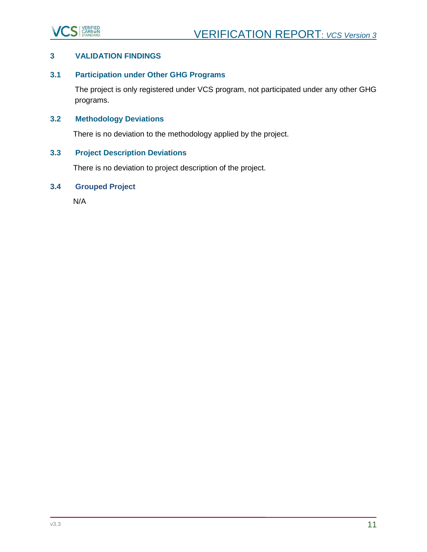

## <span id="page-10-0"></span>**3 VALIDATION FINDINGS**

## <span id="page-10-1"></span>**3.1 Participation under Other GHG Programs**

The project is only registered under VCS program, not participated under any other GHG programs.

## <span id="page-10-2"></span>**3.2 Methodology Deviations**

There is no deviation to the methodology applied by the project.

## <span id="page-10-3"></span>**3.3 Project Description Deviations**

There is no deviation to project description of the project.

## <span id="page-10-4"></span>**3.4 Grouped Project**

N/A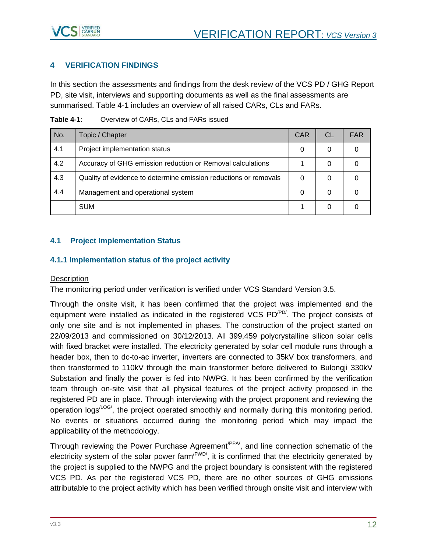

## <span id="page-11-0"></span>**4 VERIFICATION FINDINGS**

In this section the assessments and findings from the desk review of the VCS PD / GHG Report PD, site visit, interviews and supporting documents as well as the final assessments are summarised. Table 4-1 includes an overview of all raised CARs, CLs and FARs.

| No. | Topic / Chapter                                                  | <b>CAR</b> | CL | <b>FAR</b> |
|-----|------------------------------------------------------------------|------------|----|------------|
| 4.1 | Project implementation status                                    | 0          | 0  |            |
| 4.2 | Accuracy of GHG emission reduction or Removal calculations       |            | 0  |            |
| 4.3 | Quality of evidence to determine emission reductions or removals |            | 0  |            |
| 4.4 | Management and operational system                                | $\Omega$   | 0  |            |
|     | <b>SUM</b>                                                       |            | 0  |            |

**Table 4-1:** Overview of CARs, CLs and FARs issued

## <span id="page-11-1"></span>**4.1 Project Implementation Status**

#### <span id="page-11-2"></span>**4.1.1 Implementation status of the project activity**

#### **Description**

The monitoring period under verification is verified under VCS Standard Version 3.5.

Through the onsite visit, it has been confirmed that the project was implemented and the equipment were installed as indicated in the registered VCS PD<sup>/PD/</sup>. The project consists of only one site and is not implemented in phases. The construction of the project started on 22/09/2013 and commissioned on 30/12/2013. All 399,459 polycrystalline silicon solar cells with fixed bracket were installed. The electricity generated by solar cell module runs through a header box, then to dc-to-ac inverter, inverters are connected to 35kV box transformers, and then transformed to 110kV through the main transformer before delivered to Bulongji 330kV Substation and finally the power is fed into NWPG. It has been confirmed by the verification team through on-site visit that all physical features of the project activity proposed in the registered PD are in place. Through interviewing with the project proponent and reviewing the operation logs<sup>/LOG/</sup>, the project operated smoothly and normally during this monitoring period. No events or situations occurred during the monitoring period which may impact the applicability of the methodology.

Through reviewing the Power Purchase Agreement<sup>(PPA)</sup>, and line connection schematic of the electricity system of the solar power farm<sup>/PWD/</sup>, it is confirmed that the electricity generated by the project is supplied to the NWPG and the project boundary is consistent with the registered VCS PD. As per the registered VCS PD, there are no other sources of GHG emissions attributable to the project activity which has been verified through onsite visit and interview with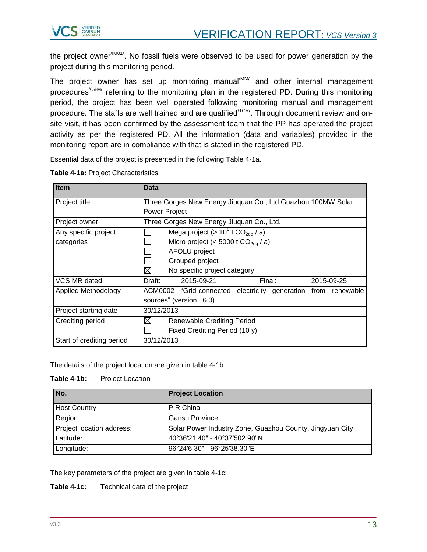

the project owner<sup>/IM01/</sup>. No fossil fuels were observed to be used for power generation by the project during this monitoring period.

The project owner has set up monitoring manual<sup>/MM/</sup> and other internal management procedures<sup>/O&M/</sup> referring to the monitoring plan in the registered PD. During this monitoring period, the project has been well operated following monitoring manual and management procedure. The staffs are well trained and are qualified<sup> $/TCR$ </sup>. Through document review and onsite visit, it has been confirmed by the assessment team that the PP has operated the project activity as per the registered PD. All the information (data and variables) provided in the monitoring report are in compliance with that is stated in the registered PD.

Essential data of the project is presented in the following Table 4-1a.

| <b>Item</b>               | Data                                                         |                                                 |        |                                                               |  |
|---------------------------|--------------------------------------------------------------|-------------------------------------------------|--------|---------------------------------------------------------------|--|
| Project title             | Three Gorges New Energy Jiuquan Co., Ltd Guazhou 100MW Solar |                                                 |        |                                                               |  |
|                           | <b>Power Project</b>                                         |                                                 |        |                                                               |  |
| Project owner             |                                                              | Three Gorges New Energy Jiuquan Co., Ltd.       |        |                                                               |  |
| Any specific project      |                                                              | Mega project (> $10^6$ t CO <sub>2eg</sub> / a) |        |                                                               |  |
| categories                |                                                              | Micro project (< 5000 t $CO_{2eq}$ / a)         |        |                                                               |  |
|                           |                                                              | AFOLU project                                   |        |                                                               |  |
|                           |                                                              | Grouped project                                 |        |                                                               |  |
|                           | ⊠                                                            | No specific project category                    |        |                                                               |  |
| VCS MR dated              | Draft:                                                       | 2015-09-21                                      | Final: | 2015-09-25                                                    |  |
| Applied Methodology       |                                                              |                                                 |        | ACM0002 "Grid-connected electricity generation from renewable |  |
|                           |                                                              | sources".(version 16.0)                         |        |                                                               |  |
| Project starting date     | 30/12/2013                                                   |                                                 |        |                                                               |  |
| Crediting period          | ⊠                                                            | <b>Renewable Crediting Period</b>               |        |                                                               |  |
|                           |                                                              | Fixed Crediting Period (10 y)                   |        |                                                               |  |
| Start of crediting period | 30/12/2013                                                   |                                                 |        |                                                               |  |

**Table 4-1a:** Project Characteristics

The details of the project location are given in table 4-1b:

**Table 4-1b:** Project Location

| No.                       | <b>Project Location</b>                                  |
|---------------------------|----------------------------------------------------------|
| <b>Host Country</b>       | P.R.China                                                |
| Region:                   | Gansu Province                                           |
| Project location address: | Solar Power Industry Zone, Guazhou County, Jingyuan City |
| Latitude:                 | 40°36'21.40" - 40°37'502.90"N                            |
| Longitude:                | 96°24′6.30″ - 96°25′38.30″E                              |

The key parameters of the project are given in table 4-1c:

**Table 4-1c:** Technical data of the project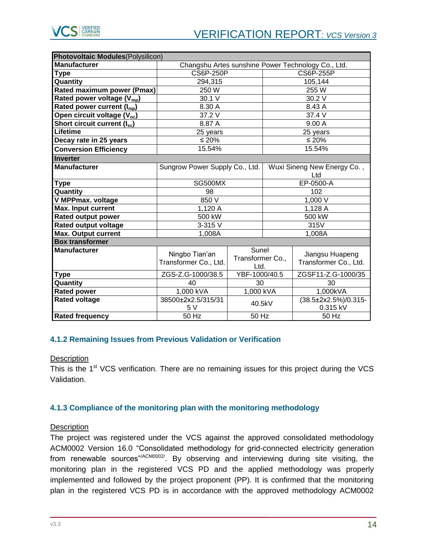

| Photovoltaic Modules(Polysilicon)       |                                         |                                   |                                    |                                                    |  |
|-----------------------------------------|-----------------------------------------|-----------------------------------|------------------------------------|----------------------------------------------------|--|
| <b>Manufacturer</b>                     |                                         |                                   |                                    | Changshu Artes sunshine Power Technology Co., Ltd. |  |
| <b>Type</b>                             | <b>CS6P-250P</b>                        |                                   | <b>CS6P-255P</b>                   |                                                    |  |
| Quantity                                | 294,315                                 |                                   |                                    | 105,144                                            |  |
| Rated maximum power (Pmax)              | 250 W                                   |                                   |                                    | 255 W                                              |  |
| Rated power voltage (V <sub>mp</sub> )  | 30.1 V                                  |                                   |                                    | 30.2 V                                             |  |
| Rated power current (I <sub>mp</sub> )  | 8.30 A                                  |                                   |                                    | 8.43 A                                             |  |
| Open circuit voltage (V <sub>oc</sub> ) | 37.2 V                                  |                                   |                                    | 37.4 V                                             |  |
| Short circuit current (Isc)             | 8.87 A                                  |                                   |                                    | 9.00 A                                             |  |
| Lifetime                                | 25 years                                |                                   |                                    | 25 years                                           |  |
| Decay rate in 25 years                  | $≤ 20%$                                 |                                   |                                    | $≤ 20%$                                            |  |
| <b>Conversion Efficiency</b>            | 15.54%                                  |                                   |                                    | 15.54%                                             |  |
| <b>Inverter</b>                         |                                         |                                   |                                    |                                                    |  |
| <b>Manufacturer</b>                     | Sungrow Power Supply Co., Ltd.          |                                   | Wuxi Sineng New Energy Co.,<br>Ltd |                                                    |  |
| <b>Type</b>                             | SG500MX                                 |                                   | EP-0500-A                          |                                                    |  |
| Quantity                                | 98                                      |                                   |                                    | 102                                                |  |
| V MPPmax. voltage                       | 850 V                                   | 1,000 V                           |                                    |                                                    |  |
| Max. Input current                      | 1,120 A                                 |                                   | 1,128 A                            |                                                    |  |
| <b>Rated output power</b>               | 500 kW                                  |                                   | 500 kW                             |                                                    |  |
| Rated output voltage                    | 3-315 V                                 |                                   | 315V                               |                                                    |  |
| <b>Max. Output current</b>              | 1,008A                                  |                                   |                                    | 1,008A                                             |  |
| <b>Box transformer</b>                  |                                         |                                   |                                    |                                                    |  |
| <b>Manufacturer</b>                     | Ningbo Tian'an<br>Transformer Co., Ltd. | Sunel<br>Transformer Co.,<br>Ltd. |                                    | Jiangsu Huapeng<br>Transformer Co., Ltd.           |  |
| Type                                    | ZGS-Z.G-1000/38.5                       | YBF-1000/40.5                     |                                    | ZGSF11-Z.G-1000/35                                 |  |
| Quantity                                | 40                                      | 30                                |                                    | 30                                                 |  |
| <b>Rated power</b>                      | 1,000 kVA                               | 1,000 kVA                         |                                    | 1,000kVA                                           |  |
| <b>Rated voltage</b>                    | 38500±2x2.5/315/31<br>5 V               | 40.5kV                            |                                    | $\sqrt{(38.5 \pm 2x2.5\%)}$ /0.315-<br>0.315 kV    |  |
| <b>Rated frequency</b>                  | 50 Hz                                   | 50 Hz                             |                                    | 50 Hz                                              |  |

#### <span id="page-13-0"></span>**4.1.2 Remaining Issues from Previous Validation or Verification**

#### **Description**

This is the  $1<sup>st</sup> VCS$  verification. There are no remaining issues for this project during the VCS Validation.

#### <span id="page-13-1"></span>**4.1.3 Compliance of the monitoring plan with the monitoring methodology**

#### **Description**

The project was registered under the VCS against the approved consolidated methodology ACM0002 Version 16.0 "Consolidated methodology for grid-connected electricity generation from renewable sources"/ACM0002/. By observing and interviewing during site visiting, the monitoring plan in the registered VCS PD and the applied methodology was properly implemented and followed by the project proponent (PP). It is confirmed that the monitoring plan in the registered VCS PD is in accordance with the approved methodology ACM0002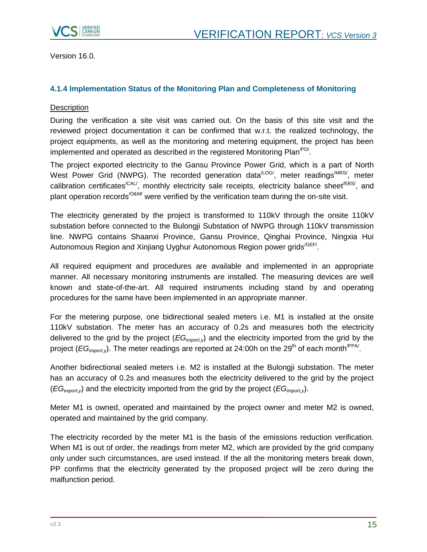

Version 16.0.

## <span id="page-14-0"></span>**4.1.4 Implementation Status of the Monitoring Plan and Completeness of Monitoring**

#### **Description**

During the verification a site visit was carried out. On the basis of this site visit and the reviewed project documentation it can be confirmed that w.r.t. the realized technology, the project equipments, as well as the monitoring and metering equipment, the project has been implemented and operated as described in the registered Monitoring Plan<sup> $P$ D/</sup>.

The project exported electricity to the Gansu Province Power Grid, which is a part of North West Power Grid (NWPG). The recorded generation data<sup>/LOG/</sup>, meter readings<sup>/MRS/</sup>, meter calibration certificates<sup>/CAL/</sup>, monthly electricity sale receipts, electricity balance sheet<sup>/EBS/</sup>, and plant operation records<sup>/O&M/</sup> were verified by the verification team during the on-site visit.

The electricity generated by the project is transformed to 110kV through the onsite 110kV substation before connected to the Bulongji Substation of NWPG through 110kV transmission line. NWPG contains Shaanxi Province, Gansu Province, Qinghai Province, Ningxia Hui Autonomous Region and Xinjiang Uyghur Autonomous Region power grids<sup>/GEF/</sup>.

All required equipment and procedures are available and implemented in an appropriate manner. All necessary monitoring instruments are installed. The measuring devices are well known and state-of-the-art. All required instruments including stand by and operating procedures for the same have been implemented in an appropriate manner.

For the metering purpose, one bidirectional sealed meters i.e. M1 is installed at the onsite 110kV substation. The meter has an accuracy of 0.2s and measures both the electricity delivered to the grid by the project (*EGexport,y*) and the electricity imported from the grid by the project (*EG<sub>import,y*). The meter readings are reported at 24:00h on the 29<sup>th</sup> of each month<sup>/PPA/</sup>.</sub>

Another bidirectional sealed meters i.e. M2 is installed at the Bulongji substation. The meter has an accuracy of 0.2s and measures both the electricity delivered to the grid by the project (*EGexport,y*) and the electricity imported from the grid by the project (*EGimport,y*).

Meter M1 is owned, operated and maintained by the project owner and meter M2 is owned, operated and maintained by the grid company.

The electricity recorded by the meter M1 is the basis of the emissions reduction verification. When M1 is out of order, the readings from meter M2, which are provided by the grid company only under such circumstances, are used instead. If the all the monitoring meters break down, PP confirms that the electricity generated by the proposed project will be zero during the malfunction period.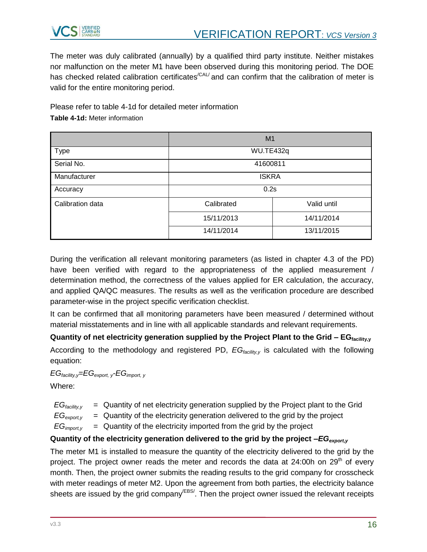

The meter was duly calibrated (annually) by a qualified third party institute. Neither mistakes nor malfunction on the meter M1 have been observed during this monitoring period. The DOE has checked related calibration certificates<sup>/CAL/</sup> and can confirm that the calibration of meter is valid for the entire monitoring period.

Please refer to table 4-1d for detailed meter information

**Table 4-1d:** Meter information

|                  | M <sub>1</sub> |             |  |
|------------------|----------------|-------------|--|
| Type             | WU.TE432q      |             |  |
| Serial No.       | 41600811       |             |  |
| Manufacturer     | <b>ISKRA</b>   |             |  |
| Accuracy         | 0.2s           |             |  |
| Calibration data | Calibrated     | Valid until |  |
|                  | 15/11/2013     | 14/11/2014  |  |
|                  | 14/11/2014     | 13/11/2015  |  |

During the verification all relevant monitoring parameters (as listed in chapter 4.3 of the PD) have been verified with regard to the appropriateness of the applied measurement / determination method, the correctness of the values applied for ER calculation, the accuracy, and applied QA/QC measures. The results as well as the verification procedure are described parameter-wise in the project specific verification checklist.

It can be confirmed that all monitoring parameters have been measured / determined without material misstatements and in line with all applicable standards and relevant requirements.

**Quantity of net electricity generation supplied by the Project Plant to the Grid – EGfacility,y** According to the methodology and registered PD, *EGfacility,y* is calculated with the following equation:

*EGfacility,y=EGexport, <sup>y</sup>-EGimport, <sup>y</sup>*

Where:

- $EG<sub>facility</sub>$  = Quantity of net electricity generation supplied by the Project plant to the Grid
- $EG<sub>export</sub> =$  Quantity of the electricity generation delivered to the grid by the project
- $EG<sub>imootv</sub>$  = Quantity of the electricity imported from the grid by the project

## **Quantity of the electricity generation delivered to the grid by the project –***EGexport,y*

The meter M1 is installed to measure the quantity of the electricity delivered to the grid by the project. The project owner reads the meter and records the data at 24:00h on 29<sup>th</sup> of every month. Then, the project owner submits the reading results to the grid company for crosscheck with meter readings of meter M2. Upon the agreement from both parties, the electricity balance sheets are issued by the grid company<sup>/EBS/</sup>. Then the project owner issued the relevant receipts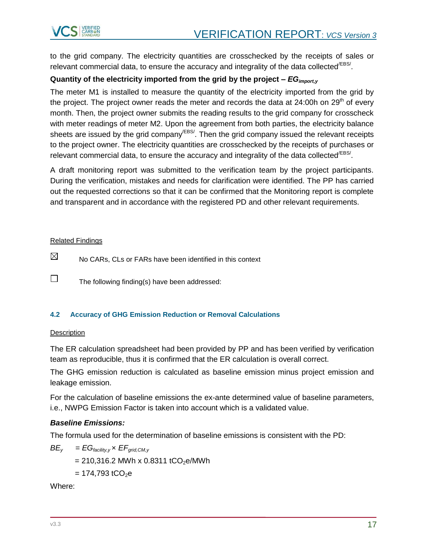

to the grid company. The electricity quantities are crosschecked by the receipts of sales or relevant commercial data, to ensure the accuracy and integrality of the data collected<sup>/EBS/</sup>.

## **Quantity of the electricity imported from the grid by the project –** *EGimport,y*

The meter M1 is installed to measure the quantity of the electricity imported from the grid by the project. The project owner reads the meter and records the data at 24:00h on 29<sup>th</sup> of every month. Then, the project owner submits the reading results to the grid company for crosscheck with meter readings of meter M2. Upon the agreement from both parties, the electricity balance sheets are issued by the grid company<sup>/EBS/</sup>. Then the grid company issued the relevant receipts to the project owner. The electricity quantities are crosschecked by the receipts of purchases or relevant commercial data, to ensure the accuracy and integrality of the data collected<sup>/EBS/</sup>.

A draft monitoring report was submitted to the verification team by the project participants. During the verification, mistakes and needs for clarification were identified. The PP has carried out the requested corrections so that it can be confirmed that the Monitoring report is complete and transparent and in accordance with the registered PD and other relevant requirements.

#### Related Findings

 $\boxtimes$ No CARs, CLs or FARs have been identified in this context

The following finding(s) have been addressed:

#### <span id="page-16-0"></span>**4.2 Accuracy of GHG Emission Reduction or Removal Calculations**

#### **Description**

 $\Box$ 

The ER calculation spreadsheet had been provided by PP and has been verified by verification team as reproducible, thus it is confirmed that the ER calculation is overall correct.

The GHG emission reduction is calculated as baseline emission minus project emission and leakage emission.

For the calculation of baseline emissions the ex-ante determined value of baseline parameters, i.e., NWPG Emission Factor is taken into account which is a validated value.

#### *Baseline Emissions:*

The formula used for the determination of baseline emissions is consistent with the PD:

$$
BE_y = EG_{\text{facility},y} \times EF_{\text{grid}, CM, y}
$$

 $= 210,316.2$  MWh x 0.8311 tCO<sub>2</sub>e/MWh

 $= 174,793$  tCO<sub>2</sub>e

Where: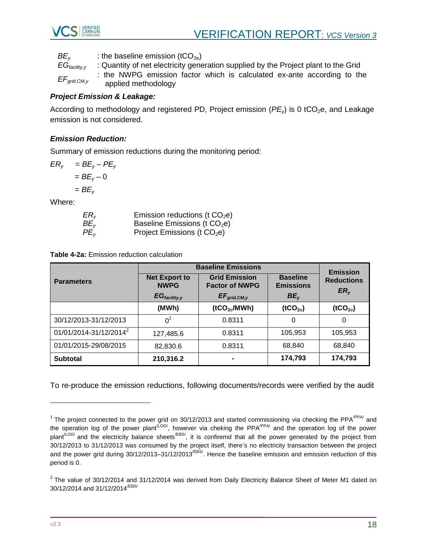

$$
BE_y
$$
: the baseline emission (tCO<sub>2e</sub>)

*EGfacility,y* : Quantity of net electricity generation supplied by the Project plant to the Grid *EFgrid,CM,y* : the NWPG emission factor which is calculated ex-ante according to the applied methodology

## *Project Emission & Leakage:*

According to methodology and registered PD, Project emission ( $PE<sub>v</sub>$ ) is 0 tCO<sub>2</sub>e, and Leakage emission is not considered.

## *Emission Reduction:*

Summary of emission reductions during the monitoring period:

$$
ER_y = BE_y - PE_y
$$

$$
= BE_y - 0
$$

$$
= BE_y
$$

Where:

| ER <sub>v</sub> | Emission reductions (t $CO2e$ )          |
|-----------------|------------------------------------------|
| BE <sub>v</sub> | Baseline Emissions (t CO <sub>2</sub> e) |
| PE <sub>v</sub> | Project Emissions (t $CO2e$ )            |

**Table 4-2a:** Emission reduction calculation

|                                    | <b>Baseline Emissions</b>           | <b>Emission</b>                               |                                     |                                      |  |
|------------------------------------|-------------------------------------|-----------------------------------------------|-------------------------------------|--------------------------------------|--|
| <b>Parameters</b>                  | <b>Net Export to</b><br><b>NWPG</b> | <b>Grid Emission</b><br><b>Factor of NWPG</b> | <b>Baseline</b><br><b>Emissions</b> | <b>Reductions</b><br>ER <sub>v</sub> |  |
|                                    | $EG_{\text{facility},y}$            | $EF_{grid,CM,y}$                              | BE <sub>v</sub>                     |                                      |  |
|                                    | (MWh)                               | (tCO <sub>2e</sub> /MWh)                      | (1CO <sub>2e</sub> )                | (1CO <sub>2e</sub> )                 |  |
| 30/12/2013-31/12/2013              | $0^1$                               | 0.8311                                        | 0                                   | 0                                    |  |
| 01/01/2014-31/12/2014 <sup>2</sup> | 127,485.6                           | 0.8311                                        | 105,953                             | 105,953                              |  |
| 01/01/2015-29/08/2015              | 82,830.6                            | 0.8311                                        | 68.840                              | 68,840                               |  |
| <b>Subtotal</b>                    | 210,316.2                           |                                               | 174,793                             | 174,793                              |  |

To re-produce the emission reductions, following documents/records were verified by the audit

l

<sup>&</sup>lt;sup>1</sup> The project connected to the power grid on 30/12/2013 and started commissioning via checking the PPA<sup>/PPA/</sup> and the operation log of the power plant<sup>/LOG/</sup>, however via cheking the PPA<sup>/PPA/</sup> and the operation log of the power plant<sup>(LOG/</sup> and the electricity balance sheets<sup>/EBS/</sup>, it is confiremd that all the power generated by the project from 30/12/2013 to 31/12/2013 was consumed by the project itself, there's no electricity transaction between the project and the power grid during 30/12/2013–31/12/2013<sup>/EBS/</sup>. Hence the baseline emission and emission reduction of this period is 0.

 $^2$  The value of 30/12/2014 and 31/12/2014 was derived from Daily Electricity Balance Sheet of Meter M1 dated on 30/12/2014 and 31/12/2014/EBS/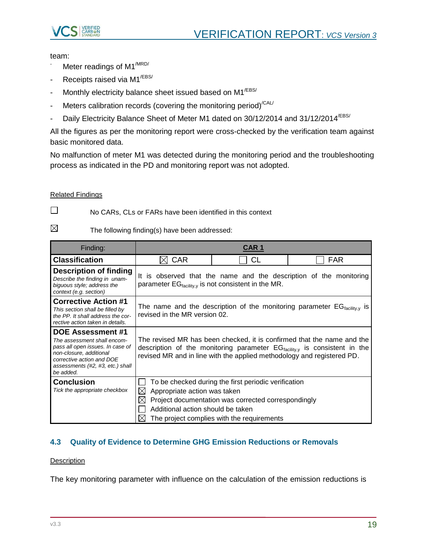

team:

- Meter readings of M1<sup>/MRD/</sup>
- Receipts raised via M1<sup>/EBS/</sup>
- Monthly electricity balance sheet issued based on M1<sup>/EBS/</sup>
- Meters calibration records (covering the monitoring period)<sup>/CAL/</sup>
- Daily Electricity Balance Sheet of Meter M1 dated on 30/12/2014 and 31/12/2014<sup>/EBS/</sup>

All the figures as per the monitoring report were cross-checked by the verification team against basic monitored data.

No malfunction of meter M1 was detected during the monitoring period and the troubleshooting process as indicated in the PD and monitoring report was not adopted.

#### Related Findings

 $\Box$ 

No CARs, CLs or FARs have been identified in this context

 $\boxtimes$ The following finding(s) have been addressed:

| Finding:                                                                                                                                                                                             |                                                                                                                                                                                                                                           | CAR 1                                                                                                                                                     |                                                                                      |
|------------------------------------------------------------------------------------------------------------------------------------------------------------------------------------------------------|-------------------------------------------------------------------------------------------------------------------------------------------------------------------------------------------------------------------------------------------|-----------------------------------------------------------------------------------------------------------------------------------------------------------|--------------------------------------------------------------------------------------|
| <b>Classification</b>                                                                                                                                                                                | <b>CAR</b>                                                                                                                                                                                                                                | <b>CL</b>                                                                                                                                                 | <b>FAR</b>                                                                           |
| <b>Description of finding</b><br>Describe the finding in unam-<br>biguous style; address the<br>context (e.g. section)                                                                               | parameter $EG_{\text{facility},y}$ is not consistent in the MR.                                                                                                                                                                           |                                                                                                                                                           | It is observed that the name and the description of the monitoring                   |
| <b>Corrective Action #1</b><br>This section shall be filled by<br>the PP. It shall address the cor-<br>rective action taken in details.                                                              | revised in the MR version 02.                                                                                                                                                                                                             |                                                                                                                                                           | The name and the description of the monitoring parameter $EG_{\text{facility,V}}$ is |
| <b>DOE Assessment #1</b><br>The assessment shall encom-<br>pass all open issues. In case of<br>non-closure, additional<br>corrective action and DOE<br>assessments (#2, #3, etc.) shall<br>be added. | The revised MR has been checked, it is confirmed that the name and the<br>description of the monitoring parameter $EG_{\text{facility},v}$ is consistent in the<br>revised MR and in line with the applied methodology and registered PD. |                                                                                                                                                           |                                                                                      |
| <b>Conclusion</b><br>Tick the appropriate checkbox                                                                                                                                                   | Appropriate action was taken<br>⊠<br>$\bowtie$<br>Additional action should be taken<br>$\times$                                                                                                                                           | To be checked during the first periodic verification<br>Project documentation was corrected correspondingly<br>The project complies with the requirements |                                                                                      |

## <span id="page-18-0"></span>**4.3 Quality of Evidence to Determine GHG Emission Reductions or Removals**

#### **Description**

The key monitoring parameter with influence on the calculation of the emission reductions is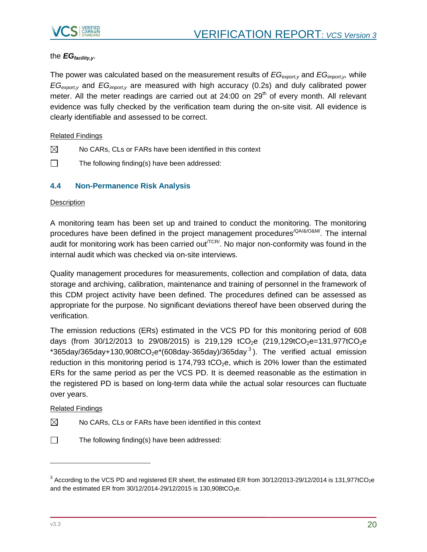

## the *EGfacility,y*.

The power was calculated based on the measurement results of *EGexport,y* and *EGimport,y,* while *EGexport,y* and *EGimport,y* are measured with high accuracy (0.2s) and duly calibrated power meter. All the meter readings are carried out at  $24:00$  on  $29<sup>th</sup>$  of every month. All relevant evidence was fully checked by the verification team during the on-site visit. All evidence is clearly identifiable and assessed to be correct.

#### Related Findings

- $\boxtimes$ No CARs, CLs or FARs have been identified in this context
- $\Box$ The following finding(s) have been addressed:

#### <span id="page-19-0"></span>**4.4 Non-Permanence Risk Analysis**

#### **Description**

A monitoring team has been set up and trained to conduct the monitoring. The monitoring procedures have been defined in the project management procedures<sup>/QA/&/O&M/</sup>. The internal audit for monitoring work has been carried out<sup> $TCR$ </sup>. No major non-conformity was found in the internal audit which was checked via on-site interviews.

Quality management procedures for measurements, collection and compilation of data, data storage and archiving, calibration, maintenance and training of personnel in the framework of this CDM project activity have been defined. The procedures defined can be assessed as appropriate for the purpose. No significant deviations thereof have been observed during the verification.

The emission reductions (ERs) estimated in the VCS PD for this monitoring period of 608 days (from 30/12/2013 to 29/08/2015) is 219,129 tCO<sub>2</sub>e (219,129tCO<sub>2</sub>e=131,977tCO<sub>2</sub>e  $*$ 365day/365day+130,908tCO<sub>2</sub>e $*$ (608day-365day)/365day<sup>3</sup>). The verified actual emission reduction in this monitoring period is 174,793 tCO<sub>2</sub>e, which is 20% lower than the estimated ERs for the same period as per the VCS PD. It is deemed reasonable as the estimation in the registered PD is based on long-term data while the actual solar resources can fluctuate over years.

#### Related Findings

- $\boxtimes$ No CARs, CLs or FARs have been identified in this context
- $\Box$ The following finding(s) have been addressed:

l

 $^3$  According to the VCS PD and registered ER sheet, the estimated ER from 30/12/2013-29/12/2014 is 131,977tCO<sub>2</sub>e and the estimated ER from  $30/12/2014 - 29/12/2015$  is  $130.908$ tCO<sub>2</sub>e.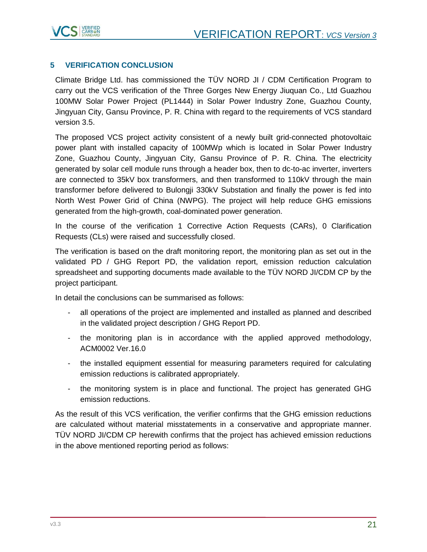



## <span id="page-20-0"></span>**5 VERIFICATION CONCLUSION**

Climate Bridge Ltd. has commissioned the TÜV NORD JI / CDM Certification Program to carry out the VCS verification of the Three Gorges New Energy Jiuquan Co., Ltd Guazhou 100MW Solar Power Project (PL1444) in Solar Power Industry Zone, Guazhou County, Jingyuan City, Gansu Province, P. R. China with regard to the requirements of VCS standard version 3.5.

The proposed VCS project activity consistent of a newly built grid-connected photovoltaic power plant with installed capacity of 100MWp which is located in Solar Power Industry Zone, Guazhou County, Jingyuan City, Gansu Province of P. R. China. The electricity generated by solar cell module runs through a header box, then to dc-to-ac inverter, inverters are connected to 35kV box transformers, and then transformed to 110kV through the main transformer before delivered to Bulongji 330kV Substation and finally the power is fed into North West Power Grid of China (NWPG). The project will help reduce GHG emissions generated from the high-growth, coal-dominated power generation.

In the course of the verification 1 Corrective Action Requests (CARs), 0 Clarification Requests (CLs) were raised and successfully closed.

The verification is based on the draft monitoring report, the monitoring plan as set out in the validated PD / GHG Report PD, the validation report, emission reduction calculation spreadsheet and supporting documents made available to the TÜV NORD JI/CDM CP by the project participant.

In detail the conclusions can be summarised as follows:

- all operations of the project are implemented and installed as planned and described in the validated project description / GHG Report PD.
- the monitoring plan is in accordance with the applied approved methodology, ACM0002 Ver.16.0
- the installed equipment essential for measuring parameters required for calculating emission reductions is calibrated appropriately.
- the monitoring system is in place and functional. The project has generated GHG emission reductions.

As the result of this VCS verification, the verifier confirms that the GHG emission reductions are calculated without material misstatements in a conservative and appropriate manner. TÜV NORD JI/CDM CP herewith confirms that the project has achieved emission reductions in the above mentioned reporting period as follows: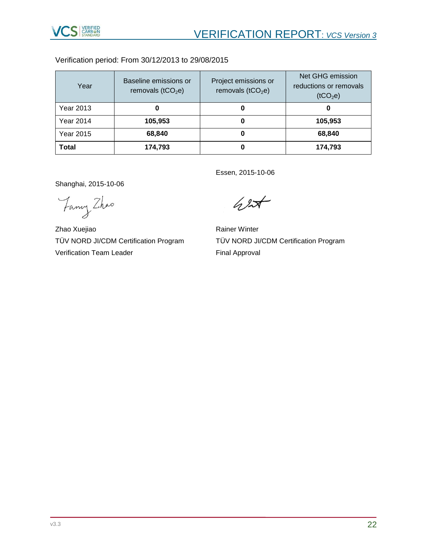

Verification period: From 30/12/2013 to 29/08/2015

| Year             | Baseline emissions or<br>removals ( $tCO2e$ ) | Project emissions or<br>removals ( $tCO2e$ ) | Net GHG emission<br>reductions or removals<br>(tCO <sub>2</sub> e) |
|------------------|-----------------------------------------------|----------------------------------------------|--------------------------------------------------------------------|
| Year 2013        | O                                             | O                                            | 0                                                                  |
| Year 2014        | 105,953                                       | 0                                            | 105,953                                                            |
| <b>Year 2015</b> | 68,840                                        | O                                            | 68,840                                                             |
| <b>Total</b>     | 174,793                                       | 0                                            | 174,793                                                            |

Shanghai, 2015-10-06

Fancy Zhao

Zhao Xuejiao TÜV NORD JI/CDM Certification Program Verification Team Leader

Essen, 2015-10-06

 $42$ 

Rainer Winter TÜV NORD JI/CDM Certification Program Final Approval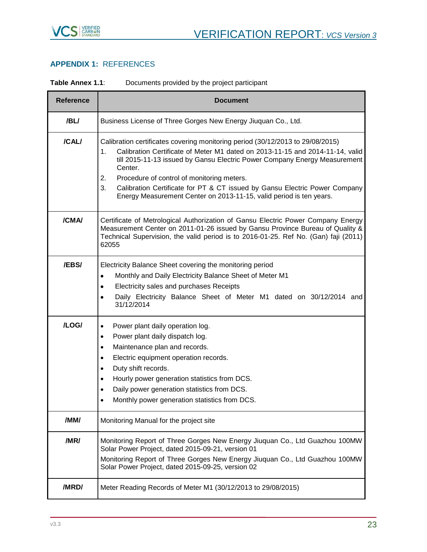

## <span id="page-22-0"></span>**APPENDIX 1:** REFERENCES

| Table Annex 1.1: | Documents provided by the project participant |  |  |  |
|------------------|-----------------------------------------------|--|--|--|
|                  |                                               |  |  |  |

| <b>Reference</b> | <b>Document</b>                                                                                                                                                                                                                                                                                                                                                                                                                                                              |
|------------------|------------------------------------------------------------------------------------------------------------------------------------------------------------------------------------------------------------------------------------------------------------------------------------------------------------------------------------------------------------------------------------------------------------------------------------------------------------------------------|
| /BL/             | Business License of Three Gorges New Energy Jiuquan Co., Ltd.                                                                                                                                                                                                                                                                                                                                                                                                                |
| /CAL/            | Calibration certificates covering monitoring period (30/12/2013 to 29/08/2015)<br>Calibration Certificate of Meter M1 dated on 2013-11-15 and 2014-11-14, valid<br>1.<br>till 2015-11-13 issued by Gansu Electric Power Company Energy Measurement<br>Center.<br>Procedure of control of monitoring meters.<br>2.<br>Calibration Certificate for PT & CT issued by Gansu Electric Power Company<br>3.<br>Energy Measurement Center on 2013-11-15, valid period is ten years. |
| /CMA/            | Certificate of Metrological Authorization of Gansu Electric Power Company Energy<br>Measurement Center on 2011-01-26 issued by Gansu Province Bureau of Quality &<br>Technical Supervision, the valid period is to 2016-01-25. Ref No. (Gan) faji (2011)<br>62055                                                                                                                                                                                                            |
| /EBS/            | Electricity Balance Sheet covering the monitoring period<br>Monthly and Daily Electricity Balance Sheet of Meter M1<br>$\bullet$<br>Electricity sales and purchases Receipts<br>Daily Electricity Balance Sheet of Meter M1 dated on 30/12/2014 and<br>$\bullet$<br>31/12/2014                                                                                                                                                                                               |
| /LOG/            | Power plant daily operation log.<br>٠<br>Power plant daily dispatch log.<br>$\bullet$<br>Maintenance plan and records.<br>$\bullet$<br>Electric equipment operation records.<br>$\bullet$<br>Duty shift records.<br>٠<br>Hourly power generation statistics from DCS.<br>$\bullet$<br>Daily power generation statistics from DCS.<br>$\bullet$<br>Monthly power generation statistics from DCS.                                                                              |
| /MM/             | Monitoring Manual for the project site                                                                                                                                                                                                                                                                                                                                                                                                                                       |
| /MR/             | Monitoring Report of Three Gorges New Energy Jiuquan Co., Ltd Guazhou 100MW<br>Solar Power Project, dated 2015-09-21, version 01<br>Monitoring Report of Three Gorges New Energy Jiuquan Co., Ltd Guazhou 100MW<br>Solar Power Project, dated 2015-09-25, version 02                                                                                                                                                                                                         |
| /MRD/            | Meter Reading Records of Meter M1 (30/12/2013 to 29/08/2015)                                                                                                                                                                                                                                                                                                                                                                                                                 |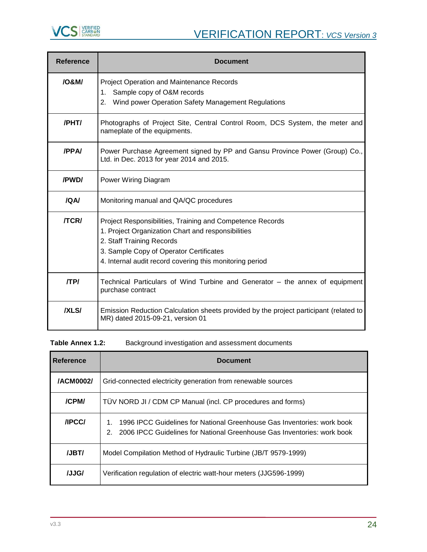

| <b>Reference</b> | <b>Document</b>                                                                                                                                                                                                                                     |
|------------------|-----------------------------------------------------------------------------------------------------------------------------------------------------------------------------------------------------------------------------------------------------|
| 108M/            | Project Operation and Maintenance Records<br>1. Sample copy of O&M records<br>2. Wind power Operation Safety Management Regulations                                                                                                                 |
| /PHT/            | Photographs of Project Site, Central Control Room, DCS System, the meter and<br>nameplate of the equipments.                                                                                                                                        |
| /PPA/            | Power Purchase Agreement signed by PP and Gansu Province Power (Group) Co.,<br>Ltd. in Dec. 2013 for year 2014 and 2015.                                                                                                                            |
| /PWD/            | Power Wiring Diagram                                                                                                                                                                                                                                |
| <b>IQAI</b>      | Monitoring manual and QA/QC procedures                                                                                                                                                                                                              |
| <b>/TCR/</b>     | Project Responsibilities, Training and Competence Records<br>1. Project Organization Chart and responsibilities<br>2. Staff Training Records<br>3. Sample Copy of Operator Certificates<br>4. Internal audit record covering this monitoring period |
| /TP/             | Technical Particulars of Wind Turbine and Generator - the annex of equipment<br>purchase contract                                                                                                                                                   |
| <b>IXLSI</b>     | Emission Reduction Calculation sheets provided by the project participant (related to<br>MR) dated 2015-09-21, version 01                                                                                                                           |

| <b>Reference</b> | <b>Document</b>                                                                                                                                               |
|------------------|---------------------------------------------------------------------------------------------------------------------------------------------------------------|
| /ACM0002/        | Grid-connected electricity generation from renewable sources                                                                                                  |
| /CPM/            | TÜV NORD JI / CDM CP Manual (incl. CP procedures and forms)                                                                                                   |
| <b>/IPCC/</b>    | 1996 IPCC Guidelines for National Greenhouse Gas Inventories: work book<br>2006 IPCC Guidelines for National Greenhouse Gas Inventories: work book<br>$2_{-}$ |
| /JBT/            | Model Compilation Method of Hydraulic Turbine (JB/T 9579-1999)                                                                                                |
| /JJG/            | Verification regulation of electric watt-hour meters (JJG596-1999)                                                                                            |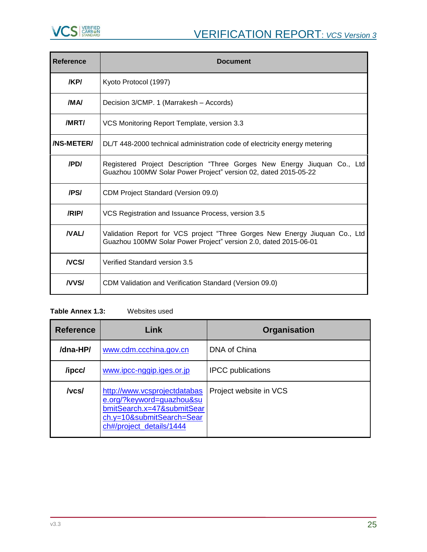

| <b>Reference</b>  | <b>Document</b>                                                                                                                                 |
|-------------------|-------------------------------------------------------------------------------------------------------------------------------------------------|
| /KP/              | Kyoto Protocol (1997)                                                                                                                           |
| /MA/              | Decision 3/CMP. 1 (Marrakesh - Accords)                                                                                                         |
| /MRT/             | VCS Monitoring Report Template, version 3.3                                                                                                     |
| <b>/NS-METER/</b> | DL/T 448-2000 technical administration code of electricity energy metering                                                                      |
| /PD/              | Registered Project Description "Three Gorges New Energy Jiuquan Co., Ltd<br>Guazhou 100MW Solar Power Project" version 02, dated 2015-05-22     |
| /PS/              | <b>CDM Project Standard (Version 09.0)</b>                                                                                                      |
| /RIP/             | VCS Registration and Issuance Process, version 3.5                                                                                              |
| <b>NALI</b>       | Validation Report for VCS project "Three Gorges New Energy Jiuquan Co., Ltd<br>Guazhou 100MW Solar Power Project" version 2.0, dated 2015-06-01 |
| <b>NCSI</b>       | Verified Standard version 3.5                                                                                                                   |
| <b>NVSI</b>       | CDM Validation and Verification Standard (Version 09.0)                                                                                         |

## **Table Annex 1.3:** Websites used

| <b>Reference</b> | Link                                                                                                                                             | <b>Organisation</b>      |  |  |  |  |
|------------------|--------------------------------------------------------------------------------------------------------------------------------------------------|--------------------------|--|--|--|--|
| /dna-HP/         | www.cdm.ccchina.gov.cn                                                                                                                           | DNA of China             |  |  |  |  |
| /ipcc/           | www.ipcc-nggip.iges.or.jp                                                                                                                        | <b>IPCC</b> publications |  |  |  |  |
| /vcs/            | http://www.vcsprojectdatabas<br>e.org/?keyword=guazhou&su<br>bmitSearch.x=47&submitSear<br>ch.y=10&submitSearch=Sear<br>ch#/project_details/1444 | Project website in VCS   |  |  |  |  |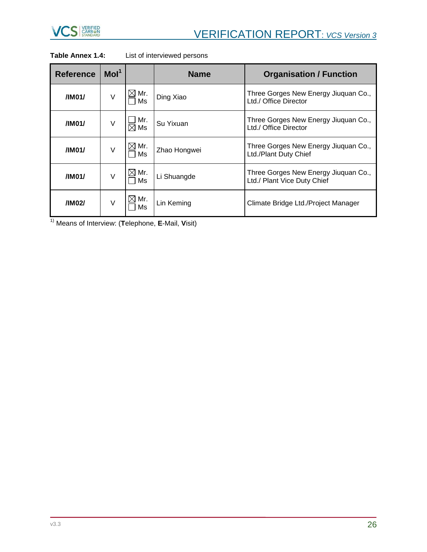

| <b>Reference</b> | Mol <sup>1</sup> |                       | <b>Name</b>  | <b>Organisation / Function</b>                                      |  |  |  |
|------------------|------------------|-----------------------|--------------|---------------------------------------------------------------------|--|--|--|
| /IM01/           | V                | Mr.<br>Ms             | Ding Xiao    | Three Gorges New Energy Jiuquan Co.,<br>Ltd./ Office Director       |  |  |  |
| /IM01/           | V                | Mr.<br>$\boxtimes$ Ms | Su Yixuan    | Three Gorges New Energy Jiuquan Co.,<br>Ltd./ Office Director       |  |  |  |
| /IM01/           | V                | $\boxtimes$ Mr.<br>Ms | Zhao Hongwei | Three Gorges New Energy Jiuquan Co.,<br>Ltd./Plant Duty Chief       |  |  |  |
| /IM01/           | V                | $\boxtimes$ Mr.<br>Ms | Li Shuangde  | Three Gorges New Energy Jiuquan Co.,<br>Ltd./ Plant Vice Duty Chief |  |  |  |
| /IM02/           | V                | Mr.<br>Ms             | Lin Keming   | Climate Bridge Ltd./Project Manager                                 |  |  |  |

## **Table Annex 1.4:** List of interviewed persons

1) Means of Interview: (**T**elephone, **E**-Mail, **V**isit)